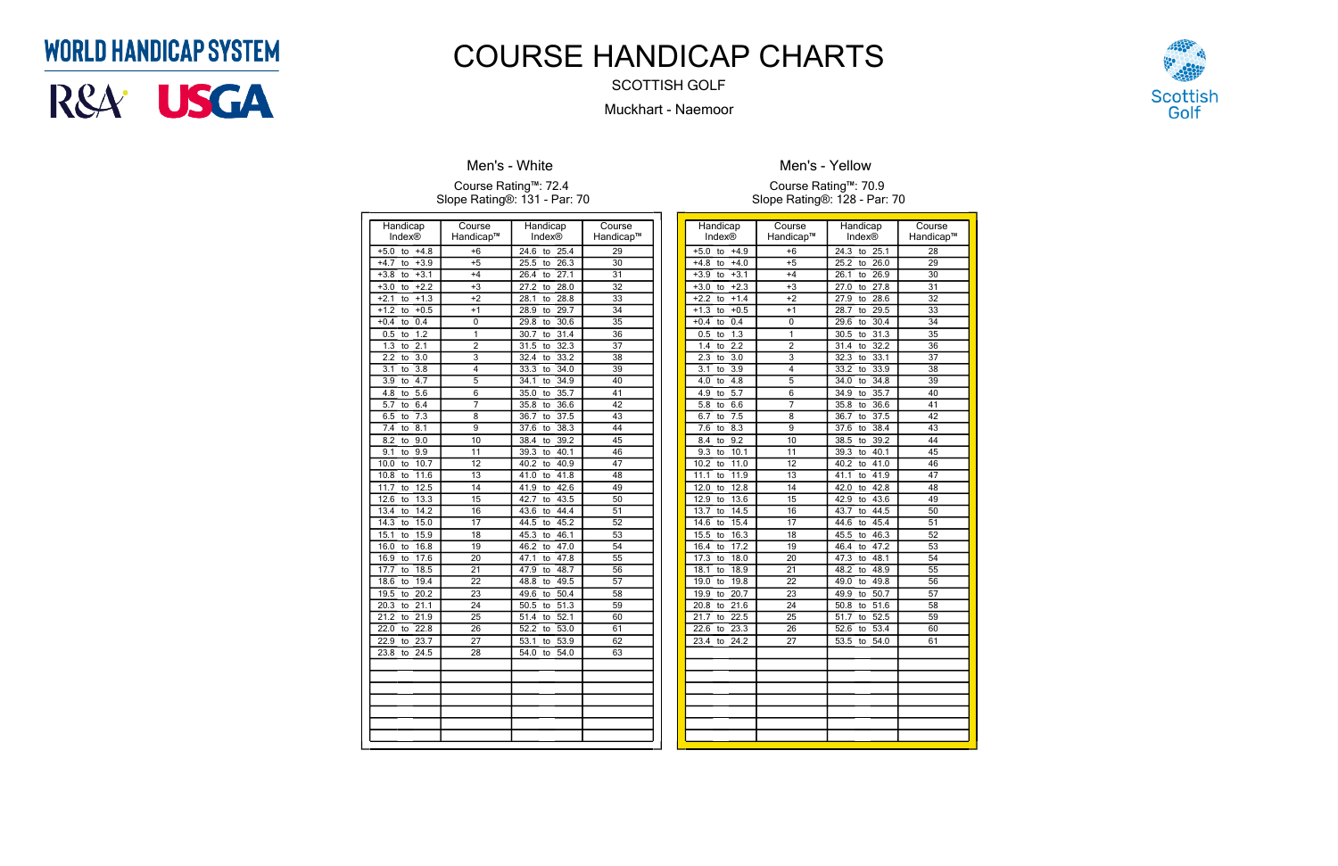| Handicap                                   | Course                  | Handicap                        | Course          |
|--------------------------------------------|-------------------------|---------------------------------|-----------------|
| Index®                                     | Handicap™               | Index®                          | Handicap™       |
| to<br>$+5.0$<br>$+4.8$                     | $+6$                    | 24.6<br>to<br>$\overline{25.4}$ | $\overline{29}$ |
| $+3.9$<br>$+4.7$<br>to                     | $+5$                    | 26.3<br>25.5<br>to              | $\overline{30}$ |
| $+3.1$<br>$+3.8$<br>to                     | $+4$                    | 27.1<br>26.4<br>to              | 31              |
| $+2.2$<br>$+3.0$<br>to                     | $+3$                    | 28.0<br>27.2<br>to              | $\overline{32}$ |
| $+1.3$<br>$+2.1$<br>to                     | $+2$                    | 28.8<br>28.1<br>to              | $\overline{33}$ |
| $+1.2$<br>$+0.5$<br>to                     | $+1$                    | 29.7<br>28.9<br>to              | 34              |
| 0.4<br>$+0.4$<br>to                        | 0                       | 30.6<br>29.8<br>to              | $\overline{35}$ |
| 1.2<br>0.5<br>to                           | $\overline{\mathbf{1}}$ | 30.7<br>$\overline{31.4}$<br>to | $\overline{36}$ |
| 1.3<br>2.1<br>to                           | $\overline{\mathbf{c}}$ | 32.3<br>31.5<br>to              | 37              |
| 2.2<br>3.0<br>to                           | $\overline{3}$          | 33.2<br>32.4<br>to              | $\overline{38}$ |
| $\overline{3.1}$<br>$\overline{3.8}$<br>to | 4                       | 33.3<br>34.0<br>to              | $\overline{39}$ |
| 4.7<br>3.9<br>to                           | $\overline{5}$          | 34.9<br>34.1<br>to              | 40              |
| $\overline{5.6}$<br>4.8<br>to              | $\overline{6}$          | 35.0<br>35.7<br>to              | 41              |
| 6.4<br>5.7<br>to                           | $\overline{7}$          | 36.6<br>35.8<br>to              | 42              |
| $7.\overline{3}$<br>6.5<br>to              | 8                       | $\overline{37.5}$<br>36.7<br>to | 43              |
| 7.4<br>8.1<br>to                           | $\overline{9}$          | 38.3<br>37.6<br>to              | 44              |
| $\overline{8.2}$<br>9.0<br>to              | 10                      | 39.2<br>38.4<br>to              | 45              |
| 9.9<br>9.1<br>to                           | 11                      | 39.3<br>40.1<br>to              | 46              |
| 10.0<br>10.7<br>to                         | 12                      | 40.9<br>40.2<br>to              | 47              |
| 10.8<br>11.6<br>to                         | 13                      | 41.8<br>41.0<br>to              | 48              |
| 12.5<br>11.7<br>to                         | 14                      | 42.6<br>41.9<br>to              | 49              |
| 12.6<br>13.3<br>to                         | $\overline{15}$         | 43.5<br>42.7<br>to              | 50              |
| 14.2<br>13.4<br>to                         | 16                      | 44.4<br>43.6<br>to              | $\overline{51}$ |
| 14.3<br>15.0<br>to                         | 17                      | 44.5<br>45.2<br>to              | 52              |
| 15.9<br>15.1<br>to                         | 18                      | 46.1<br>45.3<br>to              | $\overline{53}$ |
| 16.0<br>16.8<br>to                         | 19                      | 46.2<br>47.0<br>to              | 54              |
| 16.9<br>17.6<br>to                         | 20                      | 47.1<br>47.8<br>to              | $\overline{55}$ |
| 18.5<br>17.7<br>to                         | 21                      | 47.9<br>48.7<br>to              | 56              |
| 19.4<br>18.6<br>to                         | $\overline{22}$         | 49.5<br>48.8<br>to              | 57              |
| $\overline{20.2}$<br>19.5<br>to            | $\overline{23}$         | 49.6<br>50.4<br>to              | 58              |
| 20.3<br>21.1<br>to                         | 24                      | 51.3<br>50.5<br>to              | 59              |
| 21.2<br>21.9<br>to                         | $\overline{25}$         | 52.1<br>51.4<br>to              | 60              |
| 22.0<br>22.8<br>to                         | 26                      | $\overline{5}2.2$<br>53.0<br>to | 61              |
| 22.9<br>23.7<br>to                         | 27                      | 53.1<br>53.9<br>to              | 62              |
| 24.5<br>23.8<br>to                         | $\overline{28}$         | 54.0<br>54.0<br>to              | 63              |
|                                            |                         |                                 |                 |
|                                            |                         |                                 |                 |
|                                            |                         |                                 |                 |
|                                            |                         |                                 |                 |
|                                            |                         |                                 |                 |
|                                            |                         |                                 |                 |
|                                            |                         |                                 |                 |

### **Men's - White**

#### Course Rating™: 72.4 Slope Rating®: 131 - Par: 70

| Handicap                        | Course                    | Handicap                        | Course          |
|---------------------------------|---------------------------|---------------------------------|-----------------|
| <b>Index®</b>                   | Handicap™                 | Index®                          | Handicap™       |
| $+4.9$<br>$+5.0$<br>to          | $+6$                      | 24.3<br>25.1<br>to              | 28              |
| $+4.8$<br>$+4.0$<br>to          | $+5$                      | 26.0<br>25.2<br>to              | 29              |
| $+3.1$<br>$+3.9$<br>to          | $+4$                      | 26.1<br>26.9<br>to              | 30              |
| $+3.0$<br>$+2.3$<br>to          | $+3$                      | 27.8<br>27.0<br>to              | $\overline{31}$ |
| $+2.2$<br>$+1.4$<br>to          | $+2$                      | 28.6<br>27.9<br>to              | 32              |
| $+1.3$<br>$+0.5$<br>to          | $+1$                      | 29.5<br>28.7<br>to              | 33              |
| $+0.4$<br>0.4<br>to             | 0                         | 30.4<br>29.6<br>to              | $\overline{34}$ |
| 1.3<br>0.5<br>to                | 1                         | $\overline{31.3}$<br>30.5<br>to | 35              |
| 2.2<br>1.4<br>to                | $\mathfrak{p}$            | 32.2<br>31.4<br>to              | 36              |
| 2.3<br>3.0<br>to                | $\overline{\overline{3}}$ | 32.3<br>33.1<br>to              | 37              |
| 3.9<br>3.1<br>to                | 4                         | 33.9<br>33.2<br>to              | $\overline{38}$ |
| 4.8<br>4.0<br>to                | 5                         | 34.8<br>34.0<br>to              | 39              |
| $\overline{5.7}$<br>4.9<br>to   | 6                         | 35.7<br>34.9<br>to              | 40              |
| 6.6<br>5.8<br>to                | 7                         | 35.8<br>36.6<br>to              | 41              |
| 6.7<br>7.5<br>to                | 8                         | 37.5<br>36.7<br>to              | 42              |
| 7.6<br>8.3<br>to                | 9                         | 38.4<br>37.6<br>to              | 43              |
| 9.2<br>8.4<br>to                | $\overline{10}$           | 39.2<br>38.5<br>to              | 44              |
| 9.3<br>10.1<br>to               | 11                        | 39.3<br>40.1<br>to              | 45              |
| 10.2<br>11.0<br>to              | 12                        | 40.2<br>41.0<br>to              | 46              |
| 11.1<br>11.9<br>to              | $\overline{13}$           | 41.1<br>41.9<br>to              | 47              |
| 12.0<br>12.8<br>to              | 14                        | 42.8<br>42.0<br>to              | 48              |
| 12.9<br>13.6<br>to              | $\overline{15}$           | 42.9<br>43.6<br>to              | 49              |
| 14.5<br>13.7<br>to              | 16                        | 44.5<br>43.7<br>to              | 50              |
| 15.4<br>14.6<br>to              | 17                        | 45.4<br>44.6<br>to              | 51              |
| 16.3<br>15.5<br>to              | 18                        | 46.3<br>45.5<br>to              | 52              |
| 17.2<br>16.4<br>to              | $\overline{19}$           | 47.2<br>46.4<br>to              | $\overline{53}$ |
| 18.0<br>17.3<br>to              | $\overline{20}$           | 48.1<br>47.3<br>to              | 54              |
| 18.1<br>18.9<br>to              | 21                        | 48.2<br>48.9<br>to              | 55              |
| 19.0<br>19.8<br>to              | 22                        | 49.0<br>49.8<br>to              | 56              |
| 19.9<br>20.7<br>to              | $\overline{23}$           | 50.7<br>49.9<br>to              | $\overline{57}$ |
| 20.8<br>21.6<br>to              | $\overline{24}$           | 51.6<br>50.8<br>to              | 58              |
| $\overline{21.7}$<br>22.5<br>to | $\overline{25}$           | 52.5<br>51.7<br>to              | $\overline{59}$ |
| 22.6<br>23.3<br>to              | 26                        | 52.6<br>53.4<br>to              | 60              |
| 23.4<br>24.2<br>to              | 27                        | 53.5<br>$\overline{54.0}$<br>to | 61              |
|                                 |                           |                                 |                 |
|                                 |                           |                                 |                 |
|                                 |                           |                                 |                 |
|                                 |                           |                                 |                 |
|                                 |                           |                                 |                 |
|                                 |                           |                                 |                 |
|                                 |                           |                                 |                 |
|                                 |                           |                                 |                 |
|                                 |                           |                                 |                 |



**Men's - Yellow**

Course Rating™: 70.9 Slope Rating®: 128 - Par: 70

## **WORLD HANDICAP SYSTEM**



# COURSE HANDICAP CHARTS

SCOTTISH GOLF

Muckhart - Naemoor